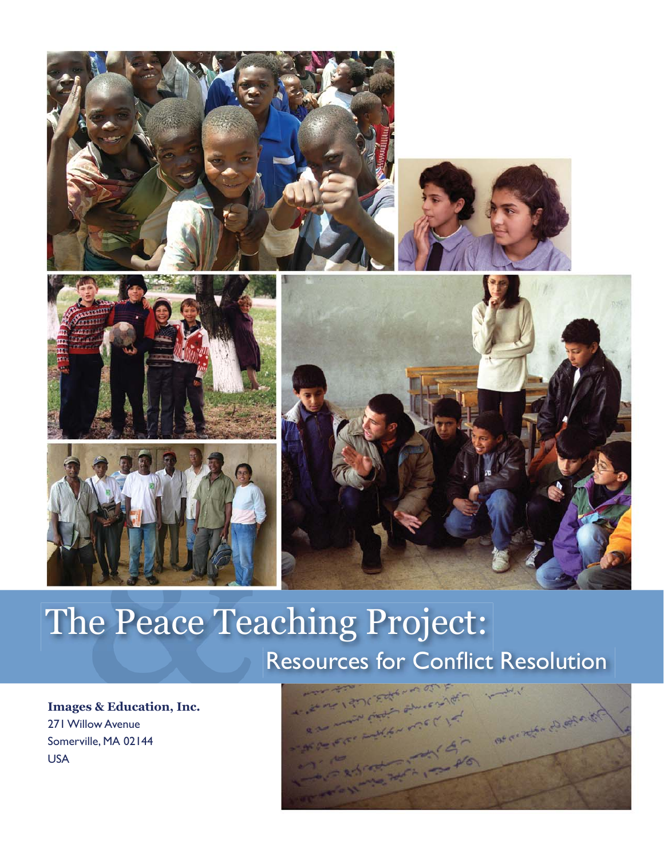

### The Peace Teaching Project: Resources for Conflict Resolution

**Images & Education, Inc.** 271 Willow Avenue Somerville, MA 02144 USA

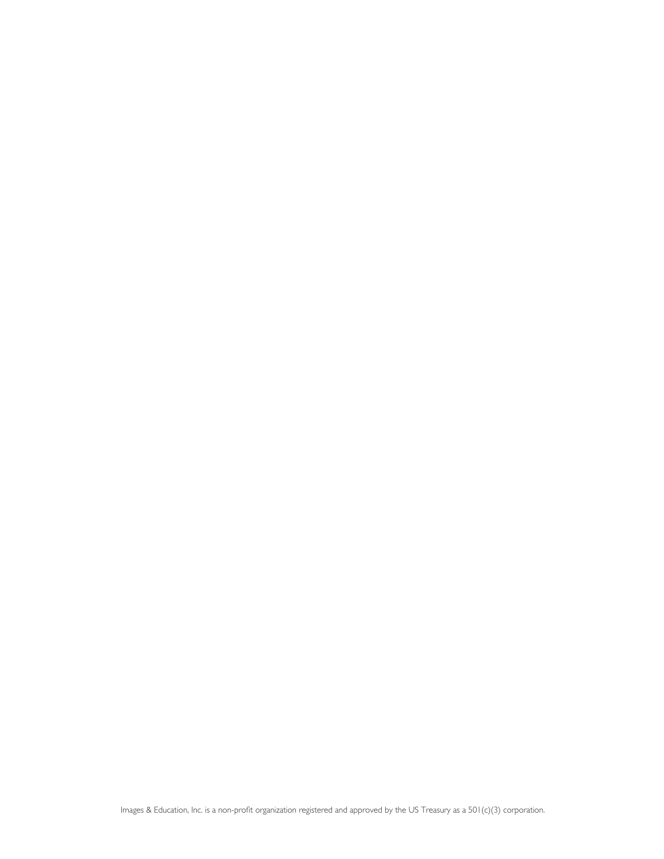Images & Education, Inc. is a non-profit organization registered and approved by the US Treasury as a 501(c)(3) corporation.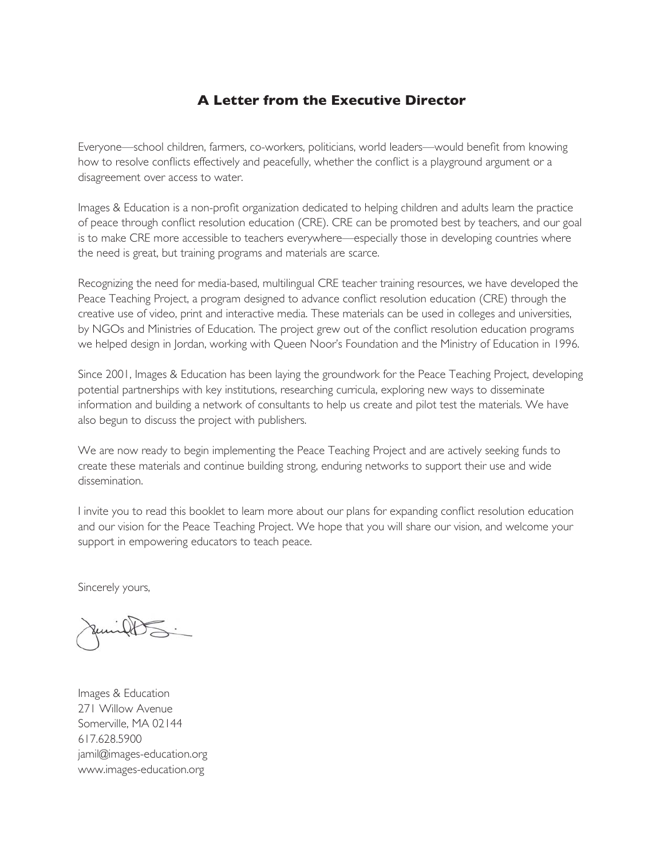#### **A Letter from the Executive Director**

Everyone—school children, farmers, co-workers, politicians, world leaders—would benefit from knowing how to resolve conflicts effectively and peacefully, whether the conflict is a playground argument or a disagreement over access to water.

Images & Education is a non-profit organization dedicated to helping children and adults learn the practice of peace through conflict resolution education (CRE). CRE can be promoted best by teachers, and our goal is to make CRE more accessible to teachers everywhere—especially those in developing countries where the need is great, but training programs and materials are scarce.

Recognizing the need for media-based, multilingual CRE teacher training resources, we have developed the Peace Teaching Project, a program designed to advance conflict resolution education (CRE) through the creative use of video, print and interactive media. These materials can be used in colleges and universities, by NGOs and Ministries of Education. The project grew out of the conflict resolution education programs we helped design in Jordan, working with Queen Noor's Foundation and the Ministry of Education in 1996.

Since 2001, Images & Education has been laying the groundwork for the Peace Teaching Project, developing potential partnerships with key institutions, researching curricula, exploring new ways to disseminate information and building a network of consultants to help us create and pilot test the materials. We have also begun to discuss the project with publishers.

We are now ready to begin implementing the Peace Teaching Project and are actively seeking funds to create these materials and continue building strong, enduring networks to support their use and wide dissemination.

I invite you to read this booklet to learn more about our plans for expanding conflict resolution education and our vision for the Peace Teaching Project. We hope that you will share our vision, and welcome your support in empowering educators to teach peace.

Sincerely yours,

 $\cup$ 

Images & Education 271 Willow Avenue Somerville, MA 02144 617.628.5900 jamil@images-education.org www.images-education.org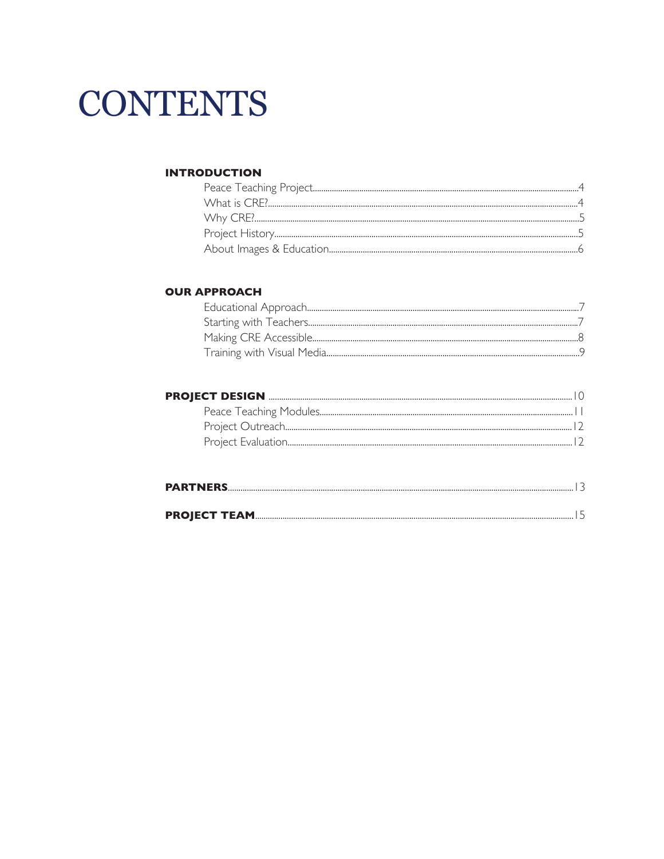## **CONTENTS**

#### **INTRODUCTION**

#### **OUR APPROACH**

#### 

| <b>PARTNERS</b> |  |
|-----------------|--|
|                 |  |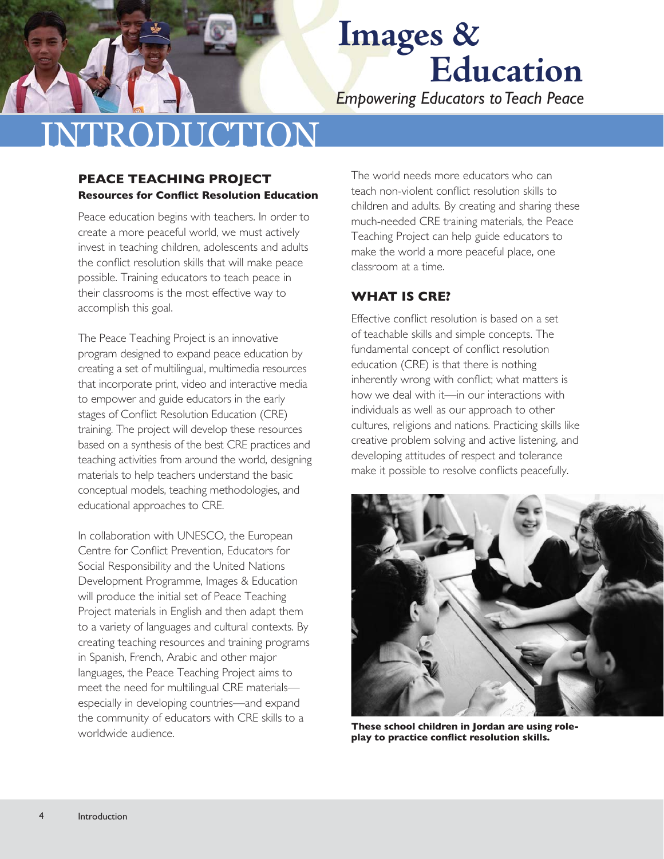*Empowering Educators to Teach Peace*

## **RODUCTION**

#### **PEACE TEACHING PROJECT Resources for Conflict Resolution Education**

Peace education begins with teachers. In order to create a more peaceful world, we must actively invest in teaching children, adolescents and adults the conflict resolution skills that will make peace possible. Training educators to teach peace in their classrooms is the most effective way to accomplish this goal.

The Peace Teaching Project is an innovative program designed to expand peace education by creating a set of multilingual, multimedia resources that incorporate print, video and interactive media to empower and guide educators in the early stages of Conflict Resolution Education (CRE) training. The project will develop these resources based on a synthesis of the best CRE practices and teaching activities from around the world, designing materials to help teachers understand the basic conceptual models, teaching methodologies, and educational approaches to CRE.

In collaboration with UNESCO, the European Centre for Conflict Prevention, Educators for Social Responsibility and the United Nations Development Programme, Images & Education will produce the initial set of Peace Teaching Project materials in English and then adapt them to a variety of languages and cultural contexts. By creating teaching resources and training programs in Spanish, French, Arabic and other major languages, the Peace Teaching Project aims to meet the need for multilingual CRE materials especially in developing countries—and expand the community of educators with CRE skills to a worldwide audience.

The world needs more educators who can teach non-violent conflict resolution skills to children and adults. By creating and sharing these much-needed CRE training materials, the Peace Teaching Project can help guide educators to make the world a more peaceful place, one classroom at a time.

#### **WHAT IS CRE?**

Effective conflict resolution is based on a set of teachable skills and simple concepts. The fundamental concept of conflict resolution education (CRE) is that there is nothing inherently wrong with conflict; what matters is how we deal with it—in our interactions with individuals as well as our approach to other cultures, religions and nations. Practicing skills like creative problem solving and active listening, and developing attitudes of respect and tolerance make it possible to resolve conflicts peacefully.



**These school children in Jordan are using role**play to practice conflict resolution skills.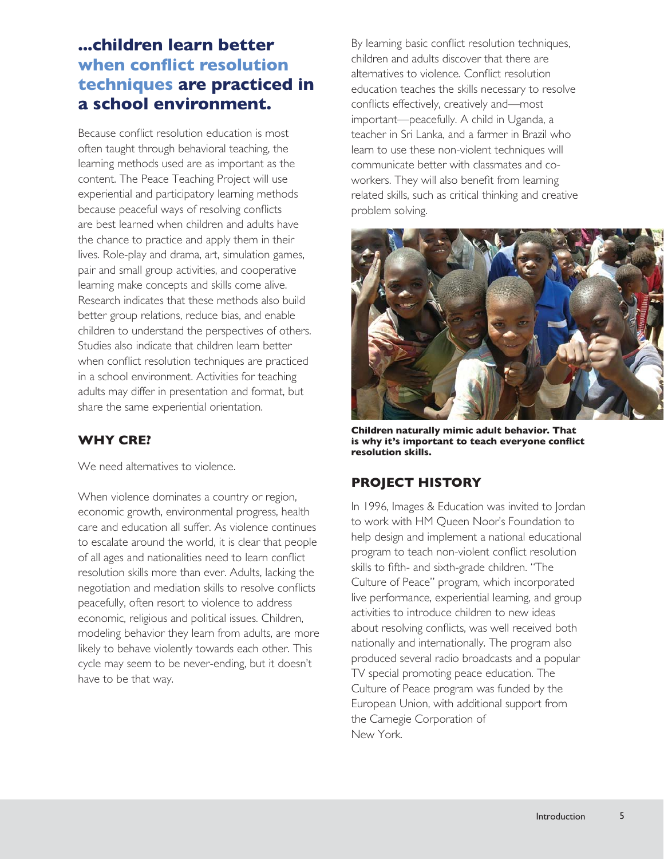#### **...children learn better when conflict resolution techniques are practiced in a school environment.**

Because conflict resolution education is most often taught through behavioral teaching, the learning methods used are as important as the content. The Peace Teaching Project will use experiential and participatory learning methods because peaceful ways of resolving conflicts are best learned when children and adults have the chance to practice and apply them in their lives. Role-play and drama, art, simulation games, pair and small group activities, and cooperative learning make concepts and skills come alive. Research indicates that these methods also build better group relations, reduce bias, and enable children to understand the perspectives of others. Studies also indicate that children learn better when conflict resolution techniques are practiced in a school environment. Activities for teaching adults may differ in presentation and format, but share the same experiential orientation.

#### **WHY CRE?**

We need alternatives to violence.

When violence dominates a country or region, economic growth, environmental progress, health care and education all suffer. As violence continues to escalate around the world, it is clear that people of all ages and nationalities need to learn conflict resolution skills more than ever. Adults, lacking the negotiation and mediation skills to resolve conflicts peacefully, often resort to violence to address economic, religious and political issues. Children, modeling behavior they learn from adults, are more likely to behave violently towards each other. This cycle may seem to be never-ending, but it doesn't have to be that way.

By learning basic conflict resolution techniques, children and adults discover that there are alternatives to violence. Conflict resolution education teaches the skills necessary to resolve conflicts effectively, creatively and—most important—peacefully. A child in Uganda, a teacher in Sri Lanka, and a farmer in Brazil who learn to use these non-violent techniques will communicate better with classmates and coworkers. They will also benefit from learning related skills, such as critical thinking and creative problem solving.



**Children naturally mimic adult behavior. That**  is why it's important to teach everyone conflict **resolution skills.**

#### **PROJECT HISTORY**

In 1996, Images & Education was invited to Jordan to work with HM Queen Noor's Foundation to help design and implement a national educational program to teach non-violent conflict resolution skills to fifth- and sixth-grade children. "The Culture of Peace" program, which incorporated live performance, experiential learning, and group activities to introduce children to new ideas about resolving conflicts, was well received both nationally and internationally. The program also produced several radio broadcasts and a popular TV special promoting peace education. The Culture of Peace program was funded by the European Union, with additional support from the Carnegie Corporation of New York.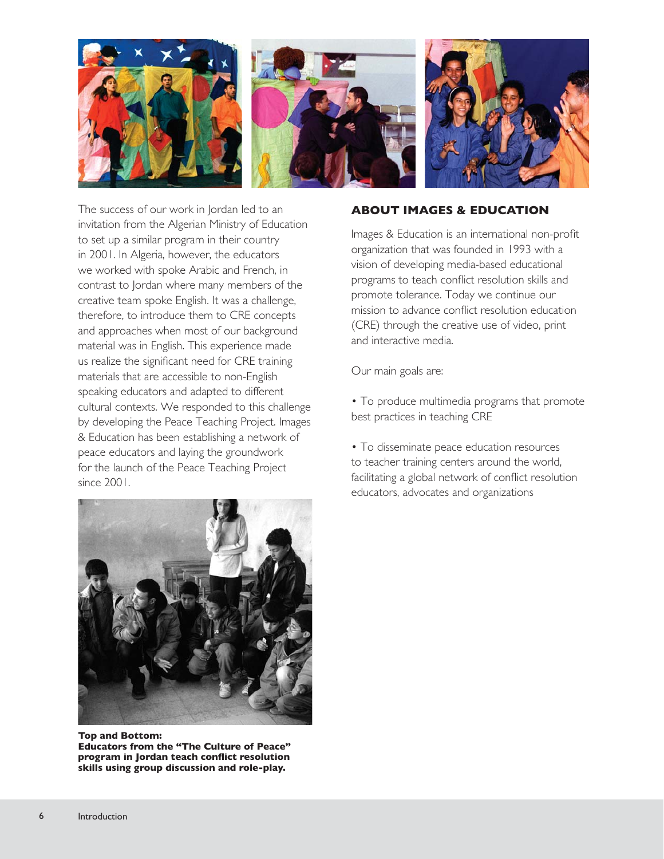

The success of our work in Jordan led to an invitation from the Algerian Ministry of Education to set up a similar program in their country in 2001. In Algeria, however, the educators we worked with spoke Arabic and French, in contrast to Jordan where many members of the creative team spoke English. It was a challenge, therefore, to introduce them to CRE concepts and approaches when most of our background material was in English. This experience made us realize the significant need for CRE training materials that are accessible to non-English speaking educators and adapted to different cultural contexts. We responded to this challenge by developing the Peace Teaching Project. Images & Education has been establishing a network of peace educators and laying the groundwork for the launch of the Peace Teaching Project since 2001.



Images & Education is an international non-profit organization that was founded in 1993 with a vision of developing media-based educational programs to teach conflict resolution skills and promote tolerance. Today we continue our mission to advance conflict resolution education (CRE) through the creative use of video, print and interactive media.

Our main goals are:

- To produce multimedia programs that promote best practices in teaching CRE
- To disseminate peace education resources to teacher training centers around the world, facilitating a global network of conflict resolution educators, advocates and organizations



**Top and Bottom: Educators from the "The Culture of Peace"**  program in Jordan teach conflict resolution **skills using group discussion and role-play.**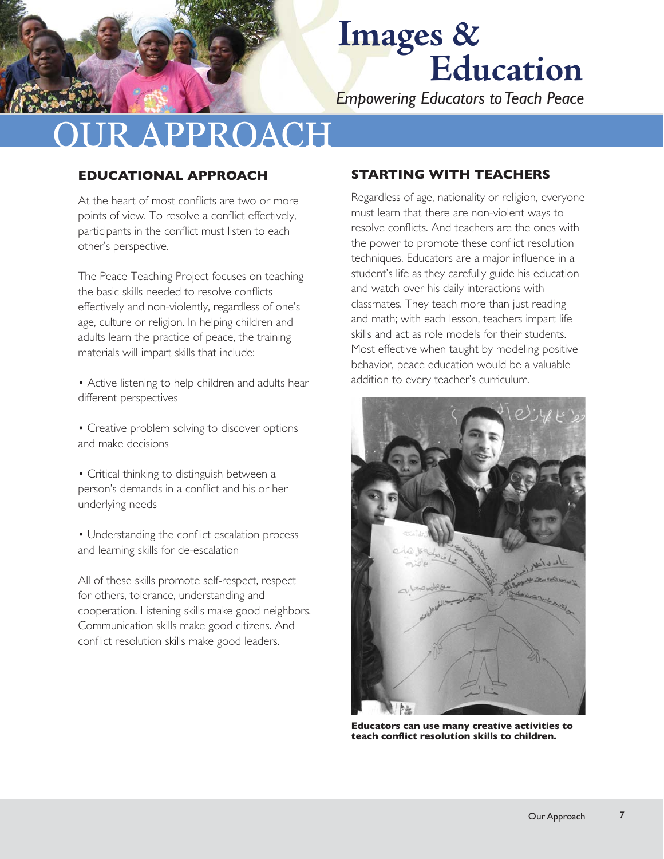*Empowering Educators to Teach Peace*

## **RAPPROACH**

#### **EDUCATIONAL APPROACH**

At the heart of most conflicts are two or more points of view. To resolve a conflict effectively, participants in the conflict must listen to each other's perspective.

The Peace Teaching Project focuses on teaching the basic skills needed to resolve conflicts effectively and non-violently, regardless of one's age, culture or religion. In helping children and adults learn the practice of peace, the training materials will impart skills that include:

• Active listening to help children and adults hear different perspectives

• Creative problem solving to discover options and make decisions

• Critical thinking to distinguish between a person's demands in a conflict and his or her underlying needs

• Understanding the conflict escalation process and learning skills for de-escalation

All of these skills promote self-respect, respect for others, tolerance, understanding and cooperation. Listening skills make good neighbors. Communication skills make good citizens. And conflict resolution skills make good leaders.

#### **STARTING WITH TEACHERS**

Regardless of age, nationality or religion, everyone must learn that there are non-violent ways to resolve conflicts. And teachers are the ones with the power to promote these conflict resolution techniques. Educators are a major influence in a student's life as they carefully guide his education and watch over his daily interactions with classmates. They teach more than just reading and math; with each lesson, teachers impart life skills and act as role models for their students. Most effective when taught by modeling positive behavior, peace education would be a valuable addition to every teacher's curriculum.



**Educators can use many creative activities to**  teach conflict resolution skills to children.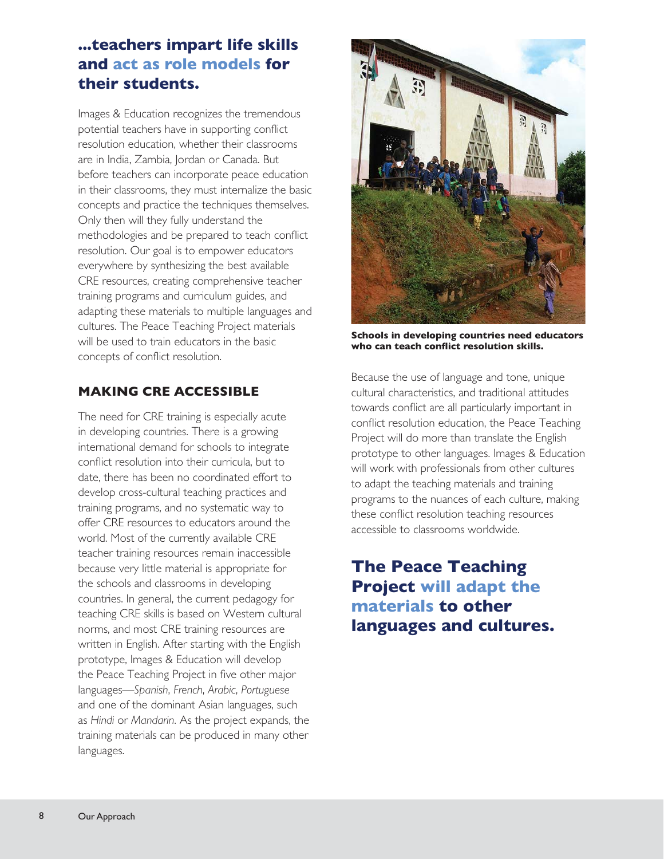#### **...teachers impart life skills and act as role models for their students.**

Images & Education recognizes the tremendous potential teachers have in supporting conflict resolution education, whether their classrooms are in India, Zambia, Jordan or Canada. But before teachers can incorporate peace education in their classrooms, they must internalize the basic concepts and practice the techniques themselves. Only then will they fully understand the methodologies and be prepared to teach conflict resolution. Our goal is to empower educators everywhere by synthesizing the best available CRE resources, creating comprehensive teacher training programs and curriculum guides, and adapting these materials to multiple languages and cultures. The Peace Teaching Project materials will be used to train educators in the basic concepts of conflict resolution.

#### **MAKING CRE ACCESSIBLE**

The need for CRE training is especially acute in developing countries. There is a growing international demand for schools to integrate conflict resolution into their curricula, but to date, there has been no coordinated effort to develop cross-cultural teaching practices and training programs, and no systematic way to offer CRE resources to educators around the world. Most of the currently available CRE teacher training resources remain inaccessible because very little material is appropriate for the schools and classrooms in developing countries. In general, the current pedagogy for teaching CRE skills is based on Western cultural norms, and most CRE training resources are written in English. After starting with the English prototype, Images & Education will develop the Peace Teaching Project in five other major languages—*Spanish*, *French*, *Arabic*, *Portuguese* and one of the dominant Asian languages, such as *Hindi* or *Mandarin*. As the project expands, the training materials can be produced in many other languages.



**Schools in developing countries need educators**  who can teach conflict resolution skills.

Because the use of language and tone, unique cultural characteristics, and traditional attitudes towards conflict are all particularly important in conflict resolution education, the Peace Teaching Project will do more than translate the English prototype to other languages. Images & Education will work with professionals from other cultures to adapt the teaching materials and training programs to the nuances of each culture, making these conflict resolution teaching resources accessible to classrooms worldwide.

**The Peace Teaching Project will adapt the materials to other languages and cultures.**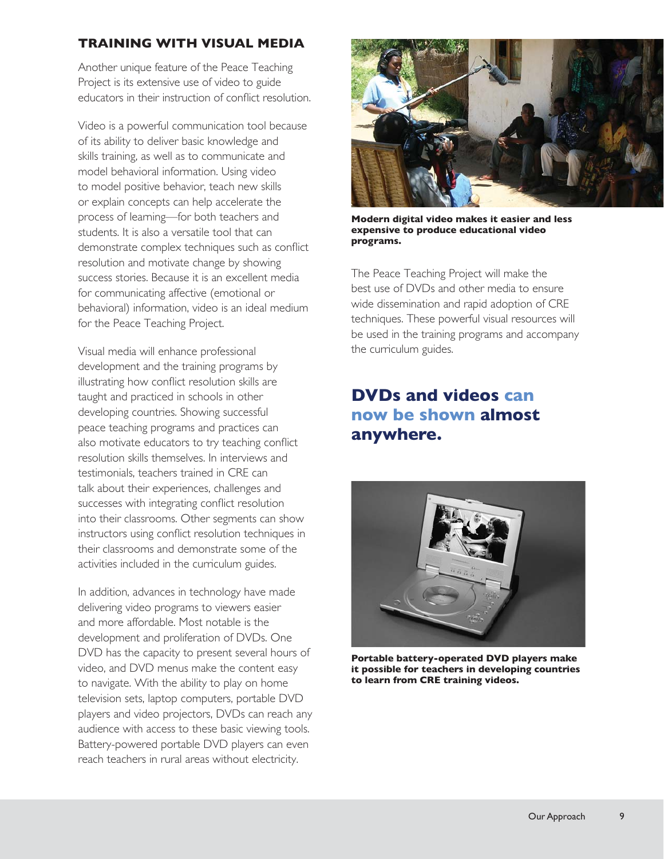#### **TRAINING WITH VISUAL MEDIA**

Another unique feature of the Peace Teaching Project is its extensive use of video to guide educators in their instruction of conflict resolution.

Video is a powerful communication tool because of its ability to deliver basic knowledge and skills training, as well as to communicate and model behavioral information. Using video to model positive behavior, teach new skills or explain concepts can help accelerate the process of learning—for both teachers and students. It is also a versatile tool that can demonstrate complex techniques such as conflict resolution and motivate change by showing success stories. Because it is an excellent media for communicating affective (emotional or behavioral) information, video is an ideal medium for the Peace Teaching Project.

Visual media will enhance professional development and the training programs by illustrating how conflict resolution skills are taught and practiced in schools in other developing countries. Showing successful peace teaching programs and practices can also motivate educators to try teaching conflict resolution skills themselves. In interviews and testimonials, teachers trained in CRE can talk about their experiences, challenges and successes with integrating conflict resolution into their classrooms. Other segments can show instructors using conflict resolution techniques in their classrooms and demonstrate some of the activities included in the curriculum guides.

In addition, advances in technology have made delivering video programs to viewers easier and more affordable. Most notable is the development and proliferation of DVDs. One DVD has the capacity to present several hours of video, and DVD menus make the content easy to navigate. With the ability to play on home television sets, laptop computers, portable DVD players and video projectors, DVDs can reach any audience with access to these basic viewing tools. Battery-powered portable DVD players can even reach teachers in rural areas without electricity.



**Modern digital video makes it easier and less expensive to produce educational video programs.**

The Peace Teaching Project will make the best use of DVDs and other media to ensure wide dissemination and rapid adoption of CRE techniques. These powerful visual resources will be used in the training programs and accompany the curriculum guides.

#### **DVDs and videos can now be shown almost anywhere.**



**Portable battery-operated DVD players make it possible for teachers in developing countries to learn from CRE training videos.**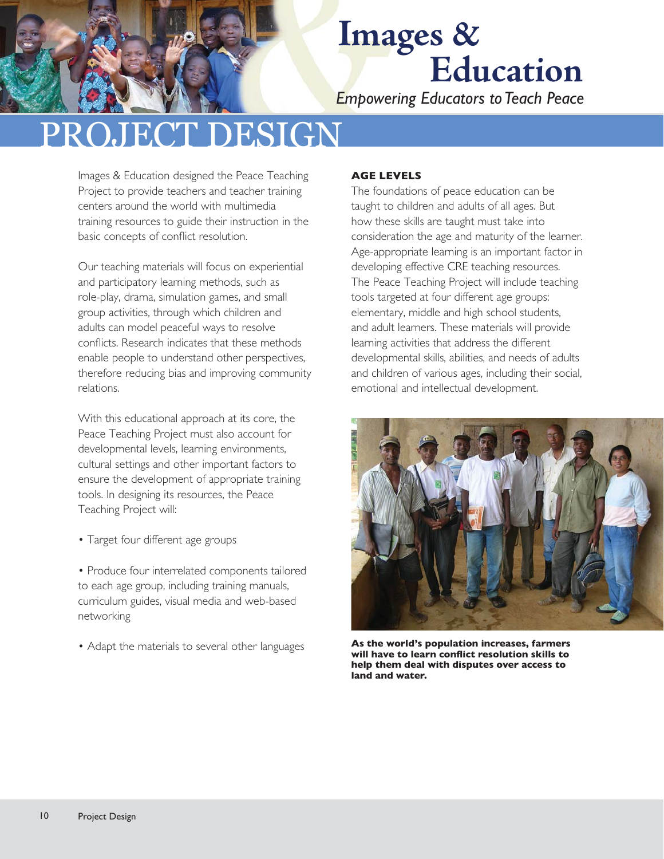*Empowering Educators to Teach Peace*

## **ECT DESIGN**

Images & Education designed the Peace Teaching Project to provide teachers and teacher training centers around the world with multimedia training resources to guide their instruction in the basic concepts of conflict resolution.

Our teaching materials will focus on experiential and participatory learning methods, such as role-play, drama, simulation games, and small group activities, through which children and adults can model peaceful ways to resolve conflicts. Research indicates that these methods enable people to understand other perspectives, therefore reducing bias and improving community relations.

With this educational approach at its core, the Peace Teaching Project must also account for developmental levels, learning environments, cultural settings and other important factors to ensure the development of appropriate training tools. In designing its resources, the Peace Teaching Project will:

- Target four different age groups
- Produce four interrelated components tailored to each age group, including training manuals, curriculum guides, visual media and web-based networking
- Adapt the materials to several other languages

#### **AGE LEVELS**

The foundations of peace education can be taught to children and adults of all ages. But how these skills are taught must take into consideration the age and maturity of the learner. Age-appropriate learning is an important factor in developing effective CRE teaching resources. The Peace Teaching Project will include teaching tools targeted at four different age groups: elementary, middle and high school students, and adult learners. These materials will provide learning activities that address the different developmental skills, abilities, and needs of adults and children of various ages, including their social, emotional and intellectual development.



**As the world's population increases, farmers**  will have to learn conflict resolution skills to **help them deal with disputes over access to land and water.**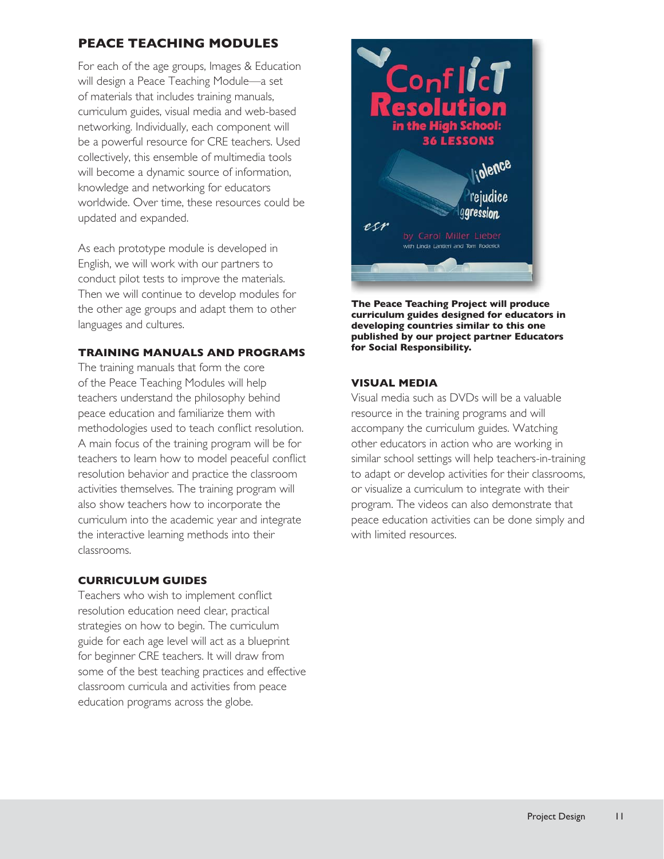#### **PEACE TEACHING MODULES**

For each of the age groups, Images & Education will design a Peace Teaching Module—a set of materials that includes training manuals, curriculum guides, visual media and web-based networking. Individually, each component will be a powerful resource for CRE teachers. Used collectively, this ensemble of multimedia tools will become a dynamic source of information, knowledge and networking for educators worldwide. Over time, these resources could be updated and expanded.

As each prototype module is developed in English, we will work with our partners to conduct pilot tests to improve the materials. Then we will continue to develop modules for the other age groups and adapt them to other languages and cultures.

#### **TRAINING MANUALS AND PROGRAMS**

The training manuals that form the core of the Peace Teaching Modules will help teachers understand the philosophy behind peace education and familiarize them with methodologies used to teach conflict resolution. A main focus of the training program will be for teachers to learn how to model peaceful conflict resolution behavior and practice the classroom activities themselves. The training program will also show teachers how to incorporate the curriculum into the academic year and integrate the interactive learning methods into their classrooms.

#### **CURRICULUM GUIDES**

Teachers who wish to implement conflict resolution education need clear, practical strategies on how to begin. The curriculum guide for each age level will act as a blueprint for beginner CRE teachers. It will draw from some of the best teaching practices and effective classroom curricula and activities from peace education programs across the globe.



**The Peace Teaching Project will produce curriculum guides designed for educators in developing countries similar to this one published by our project partner Educators for Social Responsibility.**

#### **VISUAL MEDIA**

Visual media such as DVDs will be a valuable resource in the training programs and will accompany the curriculum guides. Watching other educators in action who are working in similar school settings will help teachers-in-training to adapt or develop activities for their classrooms, or visualize a curriculum to integrate with their program. The videos can also demonstrate that peace education activities can be done simply and with limited resources.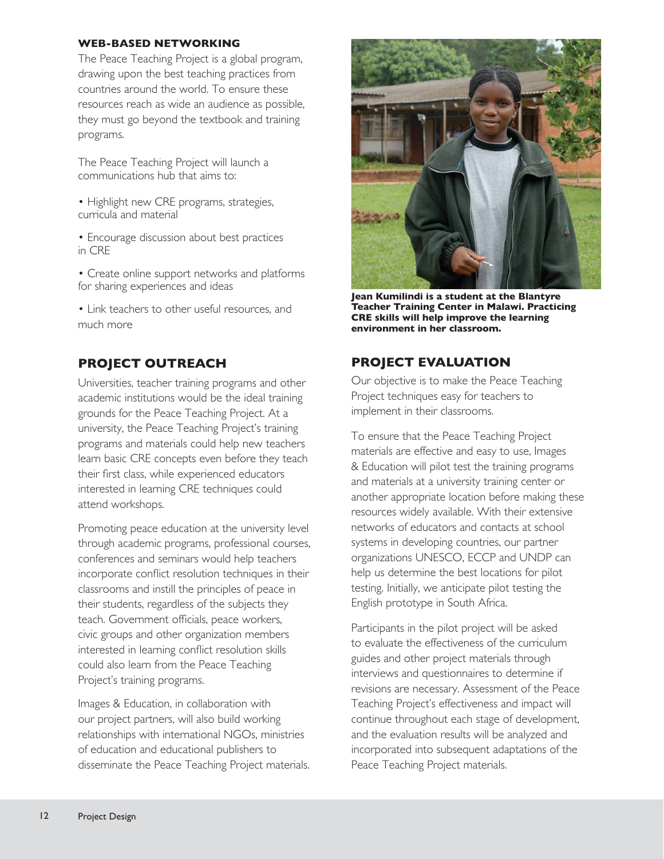#### **WEB-BASED NETWORKING**

The Peace Teaching Project is a global program, drawing upon the best teaching practices from countries around the world. To ensure these resources reach as wide an audience as possible, they must go beyond the textbook and training programs.

The Peace Teaching Project will launch a communications hub that aims to:

- Highlight new CRE programs, strategies, curricula and material
- Encourage discussion about best practices in CRE
- Create online support networks and platforms for sharing experiences and ideas
- Link teachers to other useful resources, and much more

#### **PROJECT OUTREACH**

Universities, teacher training programs and other academic institutions would be the ideal training grounds for the Peace Teaching Project. At a university, the Peace Teaching Project's training programs and materials could help new teachers learn basic CRE concepts even before they teach their first class, while experienced educators interested in learning CRE techniques could attend workshops.

Promoting peace education at the university level through academic programs, professional courses, conferences and seminars would help teachers incorporate conflict resolution techniques in their classrooms and instill the principles of peace in their students, regardless of the subjects they teach. Government officials, peace workers, civic groups and other organization members interested in learning conflict resolution skills could also learn from the Peace Teaching Project's training programs.

Images & Education, in collaboration with our project partners, will also build working relationships with international NGOs, ministries of education and educational publishers to disseminate the Peace Teaching Project materials.



**Jean Kumilindi is a student at the Blantyre Teacher Training Center in Malawi. Practicing CRE skills will help improve the learning environment in her classroom.**

#### **PROJECT EVALUATION**

Our objective is to make the Peace Teaching Project techniques easy for teachers to implement in their classrooms.

To ensure that the Peace Teaching Project materials are effective and easy to use, Images & Education will pilot test the training programs and materials at a university training center or another appropriate location before making these resources widely available. With their extensive networks of educators and contacts at school systems in developing countries, our partner organizations UNESCO, ECCP and UNDP can help us determine the best locations for pilot testing. Initially, we anticipate pilot testing the English prototype in South Africa.

Participants in the pilot project will be asked to evaluate the effectiveness of the curriculum guides and other project materials through interviews and questionnaires to determine if revisions are necessary. Assessment of the Peace Teaching Project's effectiveness and impact will continue throughout each stage of development, and the evaluation results will be analyzed and incorporated into subsequent adaptations of the Peace Teaching Project materials.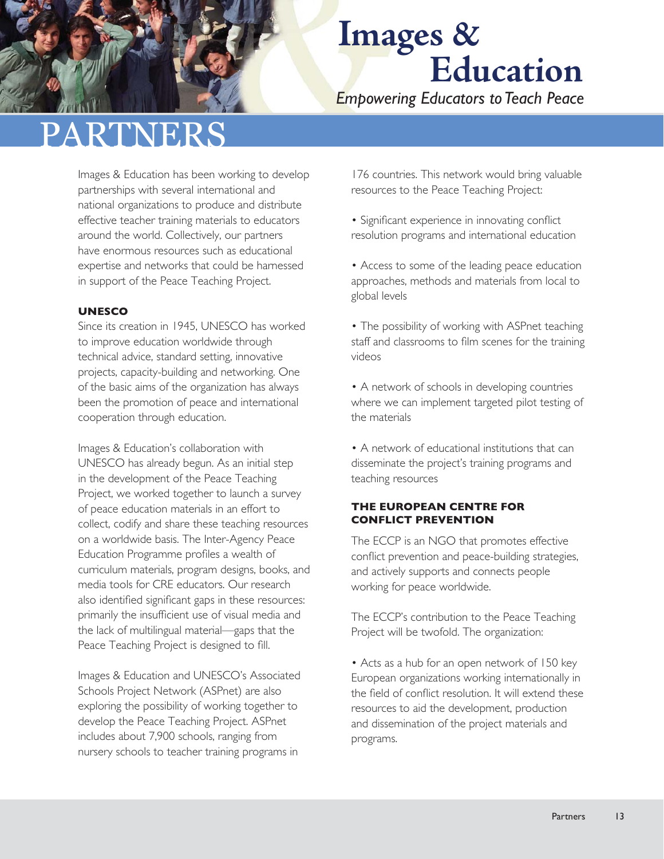*Empowering Educators to Teach Peace*

## PARTNERS

Images & Education has been working to develop partnerships with several international and national organizations to produce and distribute effective teacher training materials to educators around the world. Collectively, our partners have enormous resources such as educational expertise and networks that could be harnessed in support of the Peace Teaching Project.

#### **UNESCO**

Since its creation in 1945, UNESCO has worked to improve education worldwide through technical advice, standard setting, innovative projects, capacity-building and networking. One of the basic aims of the organization has always been the promotion of peace and international cooperation through education.

Images & Education's collaboration with UNESCO has already begun. As an initial step in the development of the Peace Teaching Project, we worked together to launch a survey of peace education materials in an effort to collect, codify and share these teaching resources on a worldwide basis. The Inter-Agency Peace Education Programme profiles a wealth of curriculum materials, program designs, books, and media tools for CRE educators. Our research also identified significant gaps in these resources: primarily the insufficient use of visual media and the lack of multilingual material—gaps that the Peace Teaching Project is designed to fill.

Images & Education and UNESCO's Associated Schools Project Network (ASPnet) are also exploring the possibility of working together to develop the Peace Teaching Project. ASPnet includes about 7,900 schools, ranging from nursery schools to teacher training programs in

176 countries. This network would bring valuable resources to the Peace Teaching Project:

- Significant experience in innovating conflict resolution programs and international education
- Access to some of the leading peace education approaches, methods and materials from local to global levels
- The possibility of working with ASPnet teaching staff and classrooms to film scenes for the training videos
- A network of schools in developing countries where we can implement targeted pilot testing of the materials
- A network of educational institutions that can disseminate the project's training programs and teaching resources

#### **THE EUROPEAN CENTRE FOR CONFLICT PREVENTION**

The ECCP is an NGO that promotes effective conflict prevention and peace-building strategies, and actively supports and connects people working for peace worldwide.

The ECCP's contribution to the Peace Teaching Project will be twofold. The organization:

• Acts as a hub for an open network of 150 key European organizations working internationally in the field of conflict resolution. It will extend these resources to aid the development, production and dissemination of the project materials and programs.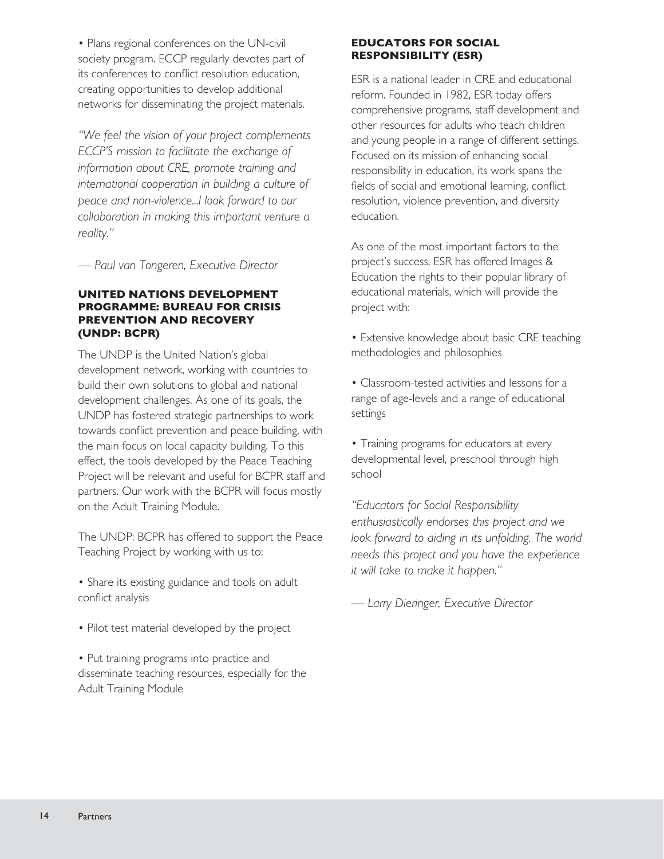• Plans regional conferences on the UN-civil society program. ECCP regularly devotes part of its conferences to conflict resolution education, creating opportunities to develop additional networks for disseminating the project materials.

*"We feel the vision of your project complements ECCP'S mission to facilitate the exchange of information about CRE, promote training and international cooperation in building a culture of peace and non-violence...I look forward to our collaboration in making this important venture a reality."*

*— Paul van Tongeren, Executive Director*

#### **UNITED NATIONS DEVELOPMENT PROGRAMME: BUREAU FOR CRISIS PREVENTION AND RECOVERY (UNDP: BCPR)**

The UNDP is the United Nation's global development network, working with countries to build their own solutions to global and national development challenges. As one of its goals, the UNDP has fostered strategic partnerships to work towards conflict prevention and peace building, with the main focus on local capacity building. To this effect, the tools developed by the Peace Teaching Project will be relevant and useful for BCPR staff and partners. Our work with the BCPR will focus mostly on the Adult Training Module.

The UNDP: BCPR has offered to support the Peace Teaching Project by working with us to:

- Share its existing guidance and tools on adult conflict analysis
- Pilot test material developed by the project

• Put training programs into practice and disseminate teaching resources, especially for the Adult Training Module

#### **EDUCATORS FOR SOCIAL RESPONSIBILITY (ESR)**

ESR is a national leader in CRE and educational reform. Founded in 1982, ESR today offers comprehensive programs, staff development and other resources for adults who teach children and young people in a range of different settings. Focused on its mission of enhancing social responsibility in education, its work spans the fields of social and emotional learning, conflict resolution, violence prevention, and diversity education.

As one of the most important factors to the project's success, ESR has offered Images & Education the rights to their popular library of educational materials, which will provide the project with:

• Extensive knowledge about basic CRE teaching methodologies and philosophies

• Classroom-tested activities and lessons for a range of age-levels and a range of educational settings

• Training programs for educators at every developmental level, preschool through high school

*"Educators for Social Responsibility enthusiastically endorses this project and we*  look forward to aiding in its unfolding. The world *needs this project and you have the experience it will take to make it happen."* 

*— Larry Dieringer, Executive Director*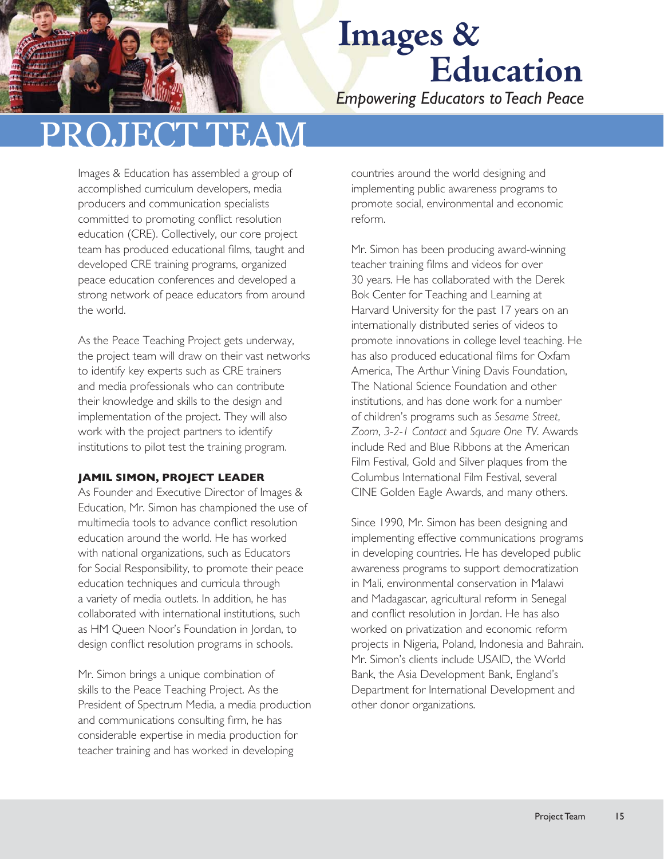*Empowering Educators to Teach Peace*

### PROJECT TEAM

Images & Education has assembled a group of accomplished curriculum developers, media producers and communication specialists committed to promoting conflict resolution education (CRE). Collectively, our core project team has produced educational films, taught and developed CRE training programs, organized peace education conferences and developed a strong network of peace educators from around the world.

As the Peace Teaching Project gets underway, the project team will draw on their vast networks to identify key experts such as CRE trainers and media professionals who can contribute their knowledge and skills to the design and implementation of the project. They will also work with the project partners to identify institutions to pilot test the training program.

#### **JAMIL SIMON, PROJECT LEADER**

As Founder and Executive Director of Images & Education, Mr. Simon has championed the use of multimedia tools to advance conflict resolution education around the world. He has worked with national organizations, such as Educators for Social Responsibility, to promote their peace education techniques and curricula through a variety of media outlets. In addition, he has collaborated with international institutions, such as HM Queen Noor's Foundation in Jordan, to design conflict resolution programs in schools.

Mr. Simon brings a unique combination of skills to the Peace Teaching Project. As the President of Spectrum Media, a media production and communications consulting firm, he has considerable expertise in media production for teacher training and has worked in developing

countries around the world designing and implementing public awareness programs to promote social, environmental and economic reform.

Mr. Simon has been producing award-winning teacher training films and videos for over 30 years. He has collaborated with the Derek Bok Center for Teaching and Learning at Harvard University for the past 17 years on an internationally distributed series of videos to promote innovations in college level teaching. He has also produced educational films for Oxfam America, The Arthur Vining Davis Foundation, The National Science Foundation and other institutions, and has done work for a number of children's programs such as *Sesame Street*, *Zoom*, *3-2-1 Contact* and *Square One TV*. Awards include Red and Blue Ribbons at the American Film Festival, Gold and Silver plaques from the Columbus International Film Festival, several CINE Golden Eagle Awards, and many others.

Since 1990, Mr. Simon has been designing and implementing effective communications programs in developing countries. He has developed public awareness programs to support democratization in Mali, environmental conservation in Malawi and Madagascar, agricultural reform in Senegal and conflict resolution in Jordan. He has also worked on privatization and economic reform projects in Nigeria, Poland, Indonesia and Bahrain. Mr. Simon's clients include USAID, the World Bank, the Asia Development Bank, England's Department for International Development and other donor organizations.